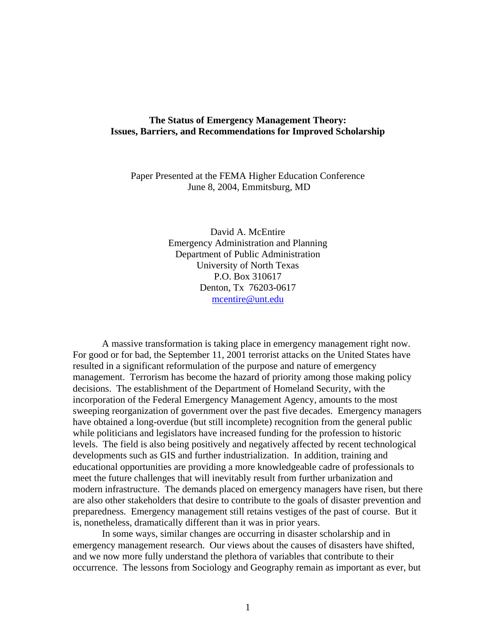# **The Status of Emergency Management Theory: Issues, Barriers, and Recommendations for Improved Scholarship**

Paper Presented at the FEMA Higher Education Conference June 8, 2004, Emmitsburg, MD

> David A. McEntire Emergency Administration and Planning Department of Public Administration University of North Texas P.O. Box 310617 Denton, Tx 76203-0617 [mcentire@unt.edu](mailto:mcentire@unt.edu)

A massive transformation is taking place in emergency management right now. For good or for bad, the September 11, 2001 terrorist attacks on the United States have resulted in a significant reformulation of the purpose and nature of emergency management. Terrorism has become the hazard of priority among those making policy decisions. The establishment of the Department of Homeland Security, with the incorporation of the Federal Emergency Management Agency, amounts to the most sweeping reorganization of government over the past five decades. Emergency managers have obtained a long-overdue (but still incomplete) recognition from the general public while politicians and legislators have increased funding for the profession to historic levels. The field is also being positively and negatively affected by recent technological developments such as GIS and further industrialization. In addition, training and educational opportunities are providing a more knowledgeable cadre of professionals to meet the future challenges that will inevitably result from further urbanization and modern infrastructure. The demands placed on emergency managers have risen, but there are also other stakeholders that desire to contribute to the goals of disaster prevention and preparedness. Emergency management still retains vestiges of the past of course. But it is, nonetheless, dramatically different than it was in prior years.

In some ways, similar changes are occurring in disaster scholarship and in emergency management research. Our views about the causes of disasters have shifted, and we now more fully understand the plethora of variables that contribute to their occurrence. The lessons from Sociology and Geography remain as important as ever, but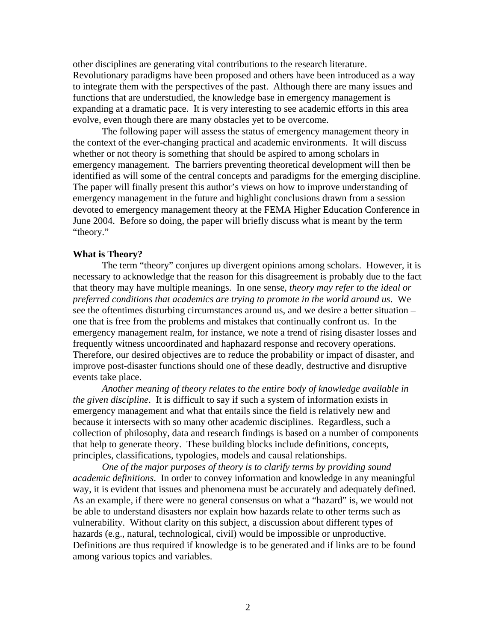other disciplines are generating vital contributions to the research literature. Revolutionary paradigms have been proposed and others have been introduced as a way to integrate them with the perspectives of the past. Although there are many issues and functions that are understudied, the knowledge base in emergency management is expanding at a dramatic pace. It is very interesting to see academic efforts in this area evolve, even though there are many obstacles yet to be overcome.

The following paper will assess the status of emergency management theory in the context of the ever-changing practical and academic environments. It will discuss whether or not theory is something that should be aspired to among scholars in emergency management. The barriers preventing theoretical development will then be identified as will some of the central concepts and paradigms for the emerging discipline. The paper will finally present this author's views on how to improve understanding of emergency management in the future and highlight conclusions drawn from a session devoted to emergency management theory at the FEMA Higher Education Conference in June 2004. Before so doing, the paper will briefly discuss what is meant by the term "theory."

### **What is Theory?**

The term "theory" conjures up divergent opinions among scholars. However, it is necessary to acknowledge that the reason for this disagreement is probably due to the fact that theory may have multiple meanings. In one sense, *theory may refer to the ideal or preferred conditions that academics are trying to promote in the world around us*. We see the oftentimes disturbing circumstances around us, and we desire a better situation – one that is free from the problems and mistakes that continually confront us. In the emergency management realm, for instance, we note a trend of rising disaster losses and frequently witness uncoordinated and haphazard response and recovery operations. Therefore, our desired objectives are to reduce the probability or impact of disaster, and improve post-disaster functions should one of these deadly, destructive and disruptive events take place.

*Another meaning of theory relates to the entire body of knowledge available in the given discipline*. It is difficult to say if such a system of information exists in emergency management and what that entails since the field is relatively new and because it intersects with so many other academic disciplines. Regardless, such a collection of philosophy, data and research findings is based on a number of components that help to generate theory. These building blocks include definitions, concepts, principles, classifications, typologies, models and causal relationships.

*One of the major purposes of theory is to clarify terms by providing sound academic definitions*. In order to convey information and knowledge in any meaningful way, it is evident that issues and phenomena must be accurately and adequately defined. As an example, if there were no general consensus on what a "hazard" is, we would not be able to understand disasters nor explain how hazards relate to other terms such as vulnerability. Without clarity on this subject, a discussion about different types of hazards (e.g., natural, technological, civil) would be impossible or unproductive. Definitions are thus required if knowledge is to be generated and if links are to be found among various topics and variables.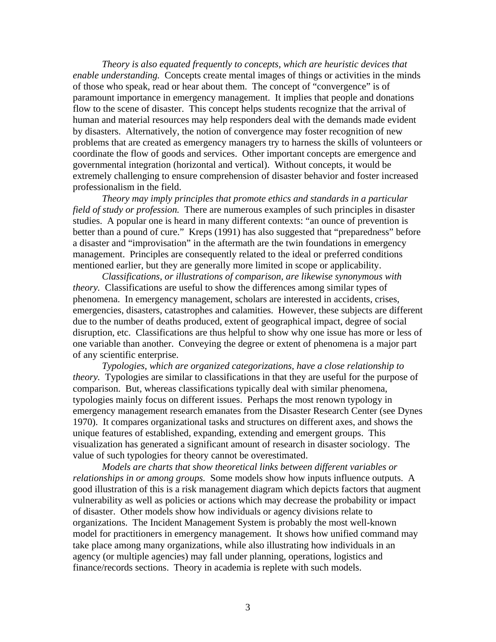*Theory is also equated frequently to concepts, which are heuristic devices that enable understanding.* Concepts create mental images of things or activities in the minds of those who speak, read or hear about them. The concept of "convergence" is of paramount importance in emergency management. It implies that people and donations flow to the scene of disaster. This concept helps students recognize that the arrival of human and material resources may help responders deal with the demands made evident by disasters. Alternatively, the notion of convergence may foster recognition of new problems that are created as emergency managers try to harness the skills of volunteers or coordinate the flow of goods and services. Other important concepts are emergence and governmental integration (horizontal and vertical). Without concepts, it would be extremely challenging to ensure comprehension of disaster behavior and foster increased professionalism in the field.

*Theory may imply principles that promote ethics and standards in a particular field of study or profession.* There are numerous examples of such principles in disaster studies. A popular one is heard in many different contexts: "an ounce of prevention is better than a pound of cure." Kreps (1991) has also suggested that "preparedness" before a disaster and "improvisation" in the aftermath are the twin foundations in emergency management. Principles are consequently related to the ideal or preferred conditions mentioned earlier, but they are generally more limited in scope or applicability.

*Classifications, or illustrations of comparison, are likewise synonymous with theory.* Classifications are useful to show the differences among similar types of phenomena. In emergency management, scholars are interested in accidents, crises, emergencies, disasters, catastrophes and calamities. However, these subjects are different due to the number of deaths produced, extent of geographical impact, degree of social disruption, etc. Classifications are thus helpful to show why one issue has more or less of one variable than another. Conveying the degree or extent of phenomena is a major part of any scientific enterprise.

*Typologies, which are organized categorizations, have a close relationship to theory.* Typologies are similar to classifications in that they are useful for the purpose of comparison. But, whereas classifications typically deal with similar phenomena, typologies mainly focus on different issues. Perhaps the most renown typology in emergency management research emanates from the Disaster Research Center (see Dynes 1970). It compares organizational tasks and structures on different axes, and shows the unique features of established, expanding, extending and emergent groups. This visualization has generated a significant amount of research in disaster sociology. The value of such typologies for theory cannot be overestimated.

 *Models are charts that show theoretical links between different variables or relationships in or among groups.* Some models show how inputs influence outputs. A good illustration of this is a risk management diagram which depicts factors that augment vulnerability as well as policies or actions which may decrease the probability or impact of disaster. Other models show how individuals or agency divisions relate to organizations. The Incident Management System is probably the most well-known model for practitioners in emergency management. It shows how unified command may take place among many organizations, while also illustrating how individuals in an agency (or multiple agencies) may fall under planning, operations, logistics and finance/records sections. Theory in academia is replete with such models.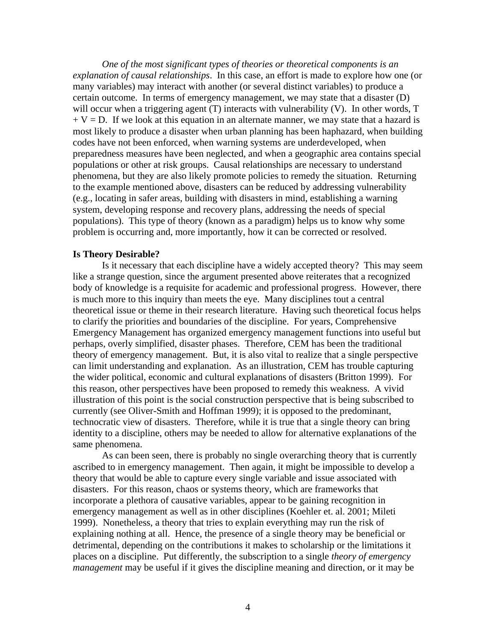*One of the most significant types of theories or theoretical components is an explanation of causal relationships*. In this case, an effort is made to explore how one (or many variables) may interact with another (or several distinct variables) to produce a certain outcome. In terms of emergency management, we may state that a disaster (D) will occur when a triggering agent (T) interacts with vulnerability (V). In other words, T  $+ V = D$ . If we look at this equation in an alternate manner, we may state that a hazard is most likely to produce a disaster when urban planning has been haphazard, when building codes have not been enforced, when warning systems are underdeveloped, when preparedness measures have been neglected, and when a geographic area contains special populations or other at risk groups. Causal relationships are necessary to understand phenomena, but they are also likely promote policies to remedy the situation. Returning to the example mentioned above, disasters can be reduced by addressing vulnerability (e.g., locating in safer areas, building with disasters in mind, establishing a warning system, developing response and recovery plans, addressing the needs of special populations). This type of theory (known as a paradigm) helps us to know why some problem is occurring and, more importantly, how it can be corrected or resolved.

# **Is Theory Desirable?**

Is it necessary that each discipline have a widely accepted theory? This may seem like a strange question, since the argument presented above reiterates that a recognized body of knowledge is a requisite for academic and professional progress. However, there is much more to this inquiry than meets the eye. Many disciplines tout a central theoretical issue or theme in their research literature. Having such theoretical focus helps to clarify the priorities and boundaries of the discipline. For years, Comprehensive Emergency Management has organized emergency management functions into useful but perhaps, overly simplified, disaster phases. Therefore, CEM has been the traditional theory of emergency management. But, it is also vital to realize that a single perspective can limit understanding and explanation. As an illustration, CEM has trouble capturing the wider political, economic and cultural explanations of disasters (Britton 1999). For this reason, other perspectives have been proposed to remedy this weakness. A vivid illustration of this point is the social construction perspective that is being subscribed to currently (see Oliver-Smith and Hoffman 1999); it is opposed to the predominant, technocratic view of disasters. Therefore, while it is true that a single theory can bring identity to a discipline, others may be needed to allow for alternative explanations of the same phenomena.

As can been seen, there is probably no single overarching theory that is currently ascribed to in emergency management. Then again, it might be impossible to develop a theory that would be able to capture every single variable and issue associated with disasters. For this reason, chaos or systems theory, which are frameworks that incorporate a plethora of causative variables, appear to be gaining recognition in emergency management as well as in other disciplines (Koehler et. al. 2001; Mileti 1999). Nonetheless, a theory that tries to explain everything may run the risk of explaining nothing at all. Hence, the presence of a single theory may be beneficial or detrimental, depending on the contributions it makes to scholarship or the limitations it places on a discipline. Put differently, the subscription to a single *theory of emergency management* may be useful if it gives the discipline meaning and direction, or it may be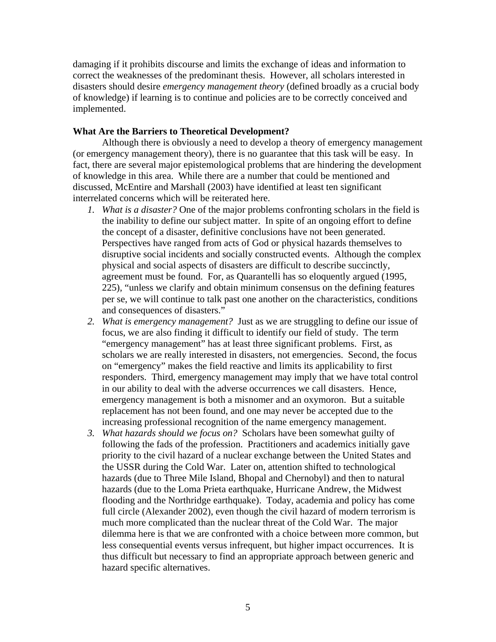damaging if it prohibits discourse and limits the exchange of ideas and information to correct the weaknesses of the predominant thesis. However, all scholars interested in disasters should desire *emergency management theory* (defined broadly as a crucial body of knowledge) if learning is to continue and policies are to be correctly conceived and implemented.

## **What Are the Barriers to Theoretical Development?**

Although there is obviously a need to develop a theory of emergency management (or emergency management theory), there is no guarantee that this task will be easy. In fact, there are several major epistemological problems that are hindering the development of knowledge in this area. While there are a number that could be mentioned and discussed, McEntire and Marshall (2003) have identified at least ten significant interrelated concerns which will be reiterated here.

- *1. What is a disaster?* One of the major problems confronting scholars in the field is the inability to define our subject matter. In spite of an ongoing effort to define the concept of a disaster, definitive conclusions have not been generated. Perspectives have ranged from acts of God or physical hazards themselves to disruptive social incidents and socially constructed events. Although the complex physical and social aspects of disasters are difficult to describe succinctly, agreement must be found. For, as Quarantelli has so eloquently argued (1995, 225), "unless we clarify and obtain minimum consensus on the defining features per se, we will continue to talk past one another on the characteristics, conditions and consequences of disasters."
- *2. What is emergency management?* Just as we are struggling to define our issue of focus, we are also finding it difficult to identify our field of study. The term "emergency management" has at least three significant problems. First, as scholars we are really interested in disasters, not emergencies. Second, the focus on "emergency" makes the field reactive and limits its applicability to first responders. Third, emergency management may imply that we have total control in our ability to deal with the adverse occurrences we call disasters. Hence, emergency management is both a misnomer and an oxymoron. But a suitable replacement has not been found, and one may never be accepted due to the increasing professional recognition of the name emergency management.
- *3. What hazards should we focus on?* Scholars have been somewhat guilty of following the fads of the profession. Practitioners and academics initially gave priority to the civil hazard of a nuclear exchange between the United States and the USSR during the Cold War. Later on, attention shifted to technological hazards (due to Three Mile Island, Bhopal and Chernobyl) and then to natural hazards (due to the Loma Prieta earthquake, Hurricane Andrew, the Midwest flooding and the Northridge earthquake). Today, academia and policy has come full circle (Alexander 2002), even though the civil hazard of modern terrorism is much more complicated than the nuclear threat of the Cold War. The major dilemma here is that we are confronted with a choice between more common, but less consequential events versus infrequent, but higher impact occurrences. It is thus difficult but necessary to find an appropriate approach between generic and hazard specific alternatives.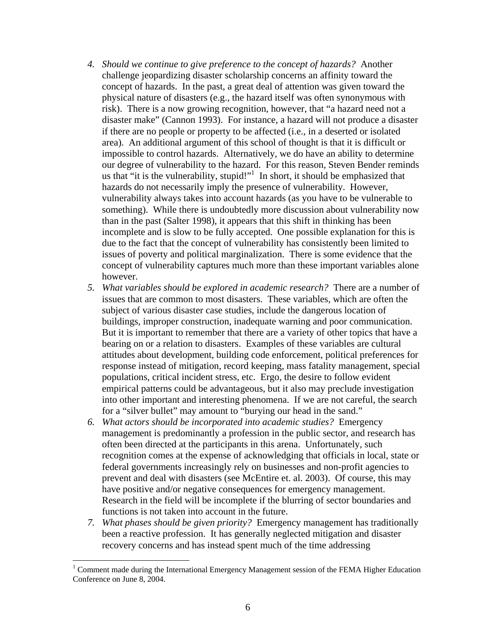- *4. Should we continue to give preference to the concept of hazards?* Another challenge jeopardizing disaster scholarship concerns an affinity toward the concept of hazards. In the past, a great deal of attention was given toward the physical nature of disasters (e.g., the hazard itself was often synonymous with risk). There is a now growing recognition, however, that "a hazard need not a disaster make" (Cannon 1993). For instance, a hazard will not produce a disaster if there are no people or property to be affected (i.e., in a deserted or isolated area). An additional argument of this school of thought is that it is difficult or impossible to control hazards. Alternatively, we do have an ability to determine our degree of vulnerability to the hazard. For this reason, Steven Bender reminds us that "it is the vulnerability, stupid!"<sup>[1](#page-5-0)</sup> In short, it should be emphasized that hazards do not necessarily imply the presence of vulnerability. However, vulnerability always takes into account hazards (as you have to be vulnerable to something). While there is undoubtedly more discussion about vulnerability now than in the past (Salter 1998), it appears that this shift in thinking has been incomplete and is slow to be fully accepted. One possible explanation for this is due to the fact that the concept of vulnerability has consistently been limited to issues of poverty and political marginalization. There is some evidence that the concept of vulnerability captures much more than these important variables alone however.
- *5. What variables should be explored in academic research?* There are a number of issues that are common to most disasters. These variables, which are often the subject of various disaster case studies, include the dangerous location of buildings, improper construction, inadequate warning and poor communication. But it is important to remember that there are a variety of other topics that have a bearing on or a relation to disasters. Examples of these variables are cultural attitudes about development, building code enforcement, political preferences for response instead of mitigation, record keeping, mass fatality management, special populations, critical incident stress, etc. Ergo, the desire to follow evident empirical patterns could be advantageous, but it also may preclude investigation into other important and interesting phenomena. If we are not careful, the search for a "silver bullet" may amount to "burying our head in the sand."
- *6. What actors should be incorporated into academic studies?* Emergency management is predominantly a profession in the public sector, and research has often been directed at the participants in this arena. Unfortunately, such recognition comes at the expense of acknowledging that officials in local, state or federal governments increasingly rely on businesses and non-profit agencies to prevent and deal with disasters (see McEntire et. al. 2003). Of course, this may have positive and/or negative consequences for emergency management. Research in the field will be incomplete if the blurring of sector boundaries and functions is not taken into account in the future.
- *7. What phases should be given priority?* Emergency management has traditionally been a reactive profession. It has generally neglected mitigation and disaster recovery concerns and has instead spent much of the time addressing

<span id="page-5-0"></span>The Tomment made during the International Emergency Management session of the FEMA Higher Education Conference on June 8, 2004.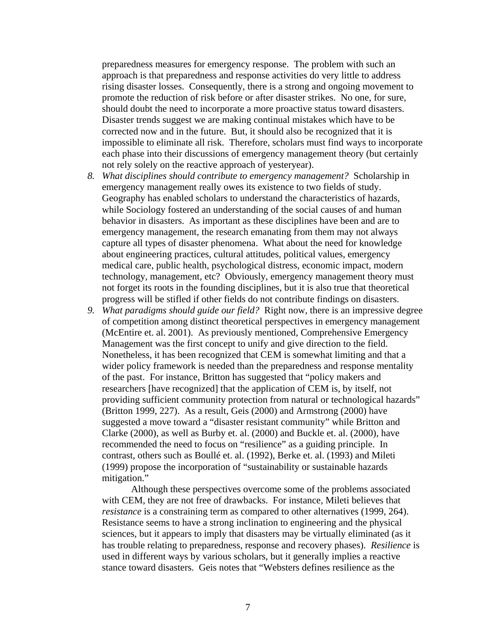preparedness measures for emergency response. The problem with such an approach is that preparedness and response activities do very little to address rising disaster losses. Consequently, there is a strong and ongoing movement to promote the reduction of risk before or after disaster strikes. No one, for sure, should doubt the need to incorporate a more proactive status toward disasters. Disaster trends suggest we are making continual mistakes which have to be corrected now and in the future. But, it should also be recognized that it is impossible to eliminate all risk. Therefore, scholars must find ways to incorporate each phase into their discussions of emergency management theory (but certainly not rely solely on the reactive approach of yesteryear).

- *8. What disciplines should contribute to emergency management?* Scholarship in emergency management really owes its existence to two fields of study. Geography has enabled scholars to understand the characteristics of hazards, while Sociology fostered an understanding of the social causes of and human behavior in disasters. As important as these disciplines have been and are to emergency management, the research emanating from them may not always capture all types of disaster phenomena. What about the need for knowledge about engineering practices, cultural attitudes, political values, emergency medical care, public health, psychological distress, economic impact, modern technology, management, etc? Obviously, emergency management theory must not forget its roots in the founding disciplines, but it is also true that theoretical progress will be stifled if other fields do not contribute findings on disasters.
- *9. What paradigms should guide our field?* Right now, there is an impressive degree of competition among distinct theoretical perspectives in emergency management (McEntire et. al. 2001). As previously mentioned, Comprehensive Emergency Management was the first concept to unify and give direction to the field. Nonetheless, it has been recognized that CEM is somewhat limiting and that a wider policy framework is needed than the preparedness and response mentality of the past. For instance, Britton has suggested that "policy makers and researchers [have recognized] that the application of CEM is, by itself, not providing sufficient community protection from natural or technological hazards" (Britton 1999, 227). As a result, Geis (2000) and Armstrong (2000) have suggested a move toward a "disaster resistant community" while Britton and Clarke (2000), as well as Burby et. al. (2000) and Buckle et. al. (2000), have recommended the need to focus on "resilience" as a guiding principle. In contrast, others such as Boullé et. al. (1992), Berke et. al. (1993) and Mileti (1999) propose the incorporation of "sustainability or sustainable hazards mitigation."

Although these perspectives overcome some of the problems associated with CEM, they are not free of drawbacks. For instance, Mileti believes that *resistance* is a constraining term as compared to other alternatives (1999, 264). Resistance seems to have a strong inclination to engineering and the physical sciences, but it appears to imply that disasters may be virtually eliminated (as it has trouble relating to preparedness, response and recovery phases). *Resilience* is used in different ways by various scholars, but it generally implies a reactive stance toward disasters. Geis notes that "Websters defines resilience as the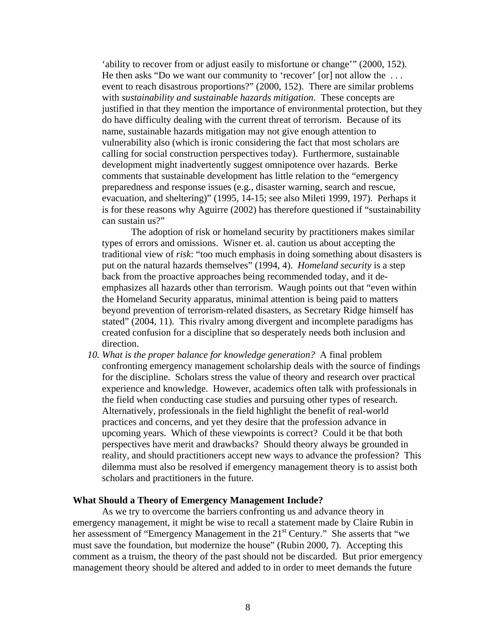'ability to recover from or adjust easily to misfortune or change'" (2000, 152). He then asks "Do we want our community to 'recover' [or] not allow the ... event to reach disastrous proportions?" (2000, 152). There are similar problems with *sustainability and sustainable hazards mitigation*. These concepts are justified in that they mention the importance of environmental protection, but they do have difficulty dealing with the current threat of terrorism. Because of its name, sustainable hazards mitigation may not give enough attention to vulnerability also (which is ironic considering the fact that most scholars are calling for social construction perspectives today). Furthermore, sustainable development might inadvertently suggest omnipotence over hazards. Berke comments that sustainable development has little relation to the "emergency preparedness and response issues (e.g., disaster warning, search and rescue, evacuation, and sheltering)" (1995, 14-15; see also Mileti 1999, 197). Perhaps it is for these reasons why Aguirre (2002) has therefore questioned if "sustainability can sustain us?"

The adoption of risk or homeland security by practitioners makes similar types of errors and omissions. Wisner et. al. caution us about accepting the traditional view of *risk*: "too much emphasis in doing something about disasters is put on the natural hazards themselves" (1994, 4). *Homeland security* is a step back from the proactive approaches being recommended today, and it deemphasizes all hazards other than terrorism. Waugh points out that "even within the Homeland Security apparatus, minimal attention is being paid to matters beyond prevention of terrorism-related disasters, as Secretary Ridge himself has stated" (2004, 11). This rivalry among divergent and incomplete paradigms has created confusion for a discipline that so desperately needs both inclusion and direction.

*10. What is the proper balance for knowledge generation?* A final problem confronting emergency management scholarship deals with the source of findings for the discipline. Scholars stress the value of theory and research over practical experience and knowledge. However, academics often talk with professionals in the field when conducting case studies and pursuing other types of research. Alternatively, professionals in the field highlight the benefit of real-world practices and concerns, and yet they desire that the profession advance in upcoming years. Which of these viewpoints is correct? Could it be that both perspectives have merit and drawbacks? Should theory always be grounded in reality, and should practitioners accept new ways to advance the profession? This dilemma must also be resolved if emergency management theory is to assist both scholars and practitioners in the future.

### **What Should a Theory of Emergency Management Include?**

As we try to overcome the barriers confronting us and advance theory in emergency management, it might be wise to recall a statement made by Claire Rubin in her assessment of "Emergency Management in the  $21<sup>st</sup>$  Century." She asserts that "we must save the foundation, but modernize the house" (Rubin 2000, 7). Accepting this comment as a truism, the theory of the past should not be discarded. But prior emergency management theory should be altered and added to in order to meet demands the future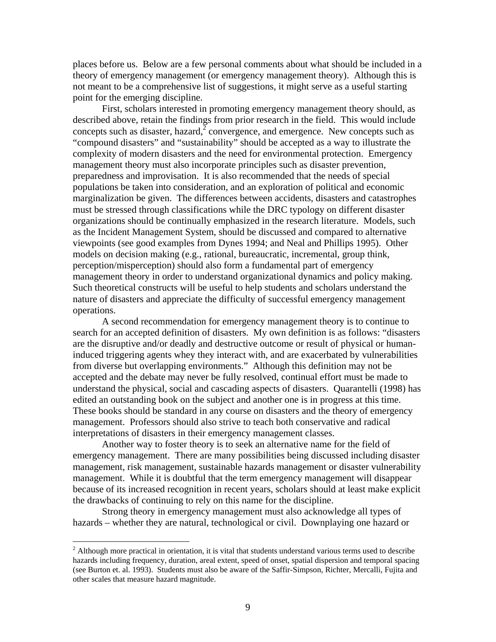places before us. Below are a few personal comments about what should be included in a theory of emergency management (or emergency management theory). Although this is not meant to be a comprehensive list of suggestions, it might serve as a useful starting point for the emerging discipline.

First, scholars interested in promoting emergency management theory should, as described above, retain the findings from prior research in the field. This would include concepts such as disaster, hazard, $\overline{2}$  $\overline{2}$  $\overline{2}$  convergence, and emergence. New concepts such as "compound disasters" and "sustainability" should be accepted as a way to illustrate the complexity of modern disasters and the need for environmental protection. Emergency management theory must also incorporate principles such as disaster prevention, preparedness and improvisation. It is also recommended that the needs of special populations be taken into consideration, and an exploration of political and economic marginalization be given. The differences between accidents, disasters and catastrophes must be stressed through classifications while the DRC typology on different disaster organizations should be continually emphasized in the research literature. Models, such as the Incident Management System, should be discussed and compared to alternative viewpoints (see good examples from Dynes 1994; and Neal and Phillips 1995). Other models on decision making (e.g., rational, bureaucratic, incremental, group think, perception/misperception) should also form a fundamental part of emergency management theory in order to understand organizational dynamics and policy making. Such theoretical constructs will be useful to help students and scholars understand the nature of disasters and appreciate the difficulty of successful emergency management operations.

A second recommendation for emergency management theory is to continue to search for an accepted definition of disasters. My own definition is as follows: "disasters are the disruptive and/or deadly and destructive outcome or result of physical or humaninduced triggering agents whey they interact with, and are exacerbated by vulnerabilities from diverse but overlapping environments." Although this definition may not be accepted and the debate may never be fully resolved, continual effort must be made to understand the physical, social and cascading aspects of disasters. Quarantelli (1998) has edited an outstanding book on the subject and another one is in progress at this time. These books should be standard in any course on disasters and the theory of emergency management. Professors should also strive to teach both conservative and radical interpretations of disasters in their emergency management classes.

Another way to foster theory is to seek an alternative name for the field of emergency management. There are many possibilities being discussed including disaster management, risk management, sustainable hazards management or disaster vulnerability management. While it is doubtful that the term emergency management will disappear because of its increased recognition in recent years, scholars should at least make explicit the drawbacks of continuing to rely on this name for the discipline.

Strong theory in emergency management must also acknowledge all types of hazards – whether they are natural, technological or civil. Downplaying one hazard or

<u>.</u>

<span id="page-8-0"></span> $2$  Although more practical in orientation, it is vital that students understand various terms used to describe hazards including frequency, duration, areal extent, speed of onset, spatial dispersion and temporal spacing (see Burton et. al. 1993). Students must also be aware of the Saffir-Simpson, Richter, Mercalli, Fujita and other scales that measure hazard magnitude.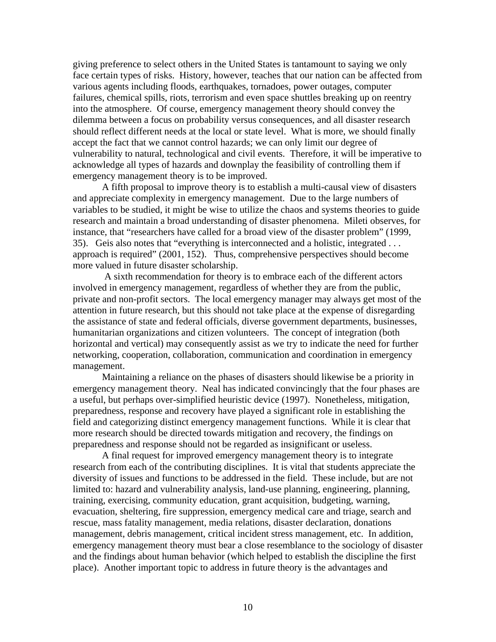giving preference to select others in the United States is tantamount to saying we only face certain types of risks. History, however, teaches that our nation can be affected from various agents including floods, earthquakes, tornadoes, power outages, computer failures, chemical spills, riots, terrorism and even space shuttles breaking up on reentry into the atmosphere. Of course, emergency management theory should convey the dilemma between a focus on probability versus consequences, and all disaster research should reflect different needs at the local or state level. What is more, we should finally accept the fact that we cannot control hazards; we can only limit our degree of vulnerability to natural, technological and civil events. Therefore, it will be imperative to acknowledge all types of hazards and downplay the feasibility of controlling them if emergency management theory is to be improved.

A fifth proposal to improve theory is to establish a multi-causal view of disasters and appreciate complexity in emergency management. Due to the large numbers of variables to be studied, it might be wise to utilize the chaos and systems theories to guide research and maintain a broad understanding of disaster phenomena. Mileti observes, for instance, that "researchers have called for a broad view of the disaster problem" (1999, 35). Geis also notes that "everything is interconnected and a holistic, integrated . . . approach is required" (2001, 152). Thus, comprehensive perspectives should become more valued in future disaster scholarship.

 A sixth recommendation for theory is to embrace each of the different actors involved in emergency management, regardless of whether they are from the public, private and non-profit sectors. The local emergency manager may always get most of the attention in future research, but this should not take place at the expense of disregarding the assistance of state and federal officials, diverse government departments, businesses, humanitarian organizations and citizen volunteers. The concept of integration (both horizontal and vertical) may consequently assist as we try to indicate the need for further networking, cooperation, collaboration, communication and coordination in emergency management.

Maintaining a reliance on the phases of disasters should likewise be a priority in emergency management theory. Neal has indicated convincingly that the four phases are a useful, but perhaps over-simplified heuristic device (1997). Nonetheless, mitigation, preparedness, response and recovery have played a significant role in establishing the field and categorizing distinct emergency management functions. While it is clear that more research should be directed towards mitigation and recovery, the findings on preparedness and response should not be regarded as insignificant or useless.

A final request for improved emergency management theory is to integrate research from each of the contributing disciplines. It is vital that students appreciate the diversity of issues and functions to be addressed in the field. These include, but are not limited to: hazard and vulnerability analysis, land-use planning, engineering, planning, training, exercising, community education, grant acquisition, budgeting, warning, evacuation, sheltering, fire suppression, emergency medical care and triage, search and rescue, mass fatality management, media relations, disaster declaration, donations management, debris management, critical incident stress management, etc. In addition, emergency management theory must bear a close resemblance to the sociology of disaster and the findings about human behavior (which helped to establish the discipline the first place). Another important topic to address in future theory is the advantages and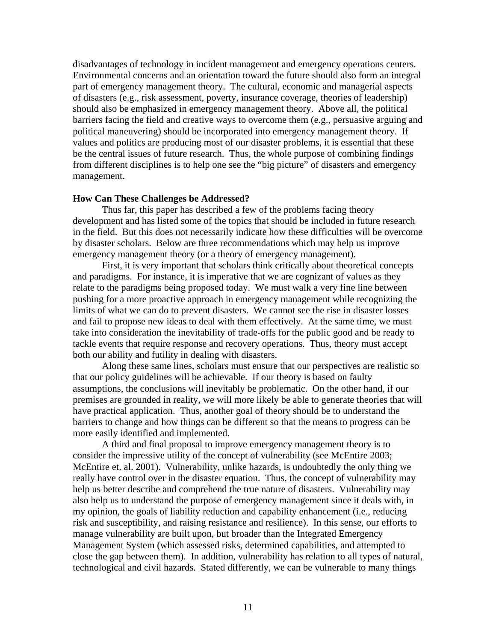disadvantages of technology in incident management and emergency operations centers. Environmental concerns and an orientation toward the future should also form an integral part of emergency management theory. The cultural, economic and managerial aspects of disasters (e.g., risk assessment, poverty, insurance coverage, theories of leadership) should also be emphasized in emergency management theory. Above all, the political barriers facing the field and creative ways to overcome them (e.g., persuasive arguing and political maneuvering) should be incorporated into emergency management theory. If values and politics are producing most of our disaster problems, it is essential that these be the central issues of future research. Thus, the whole purpose of combining findings from different disciplines is to help one see the "big picture" of disasters and emergency management.

### **How Can These Challenges be Addressed?**

Thus far, this paper has described a few of the problems facing theory development and has listed some of the topics that should be included in future research in the field. But this does not necessarily indicate how these difficulties will be overcome by disaster scholars. Below are three recommendations which may help us improve emergency management theory (or a theory of emergency management).

First, it is very important that scholars think critically about theoretical concepts and paradigms. For instance, it is imperative that we are cognizant of values as they relate to the paradigms being proposed today. We must walk a very fine line between pushing for a more proactive approach in emergency management while recognizing the limits of what we can do to prevent disasters. We cannot see the rise in disaster losses and fail to propose new ideas to deal with them effectively. At the same time, we must take into consideration the inevitability of trade-offs for the public good and be ready to tackle events that require response and recovery operations. Thus, theory must accept both our ability and futility in dealing with disasters.

Along these same lines, scholars must ensure that our perspectives are realistic so that our policy guidelines will be achievable. If our theory is based on faulty assumptions, the conclusions will inevitably be problematic. On the other hand, if our premises are grounded in reality, we will more likely be able to generate theories that will have practical application. Thus, another goal of theory should be to understand the barriers to change and how things can be different so that the means to progress can be more easily identified and implemented.

A third and final proposal to improve emergency management theory is to consider the impressive utility of the concept of vulnerability (see McEntire 2003; McEntire et. al. 2001). Vulnerability, unlike hazards, is undoubtedly the only thing we really have control over in the disaster equation. Thus, the concept of vulnerability may help us better describe and comprehend the true nature of disasters. Vulnerability may also help us to understand the purpose of emergency management since it deals with, in my opinion, the goals of liability reduction and capability enhancement (i.e., reducing risk and susceptibility, and raising resistance and resilience). In this sense, our efforts to manage vulnerability are built upon, but broader than the Integrated Emergency Management System (which assessed risks, determined capabilities, and attempted to close the gap between them). In addition, vulnerability has relation to all types of natural, technological and civil hazards. Stated differently, we can be vulnerable to many things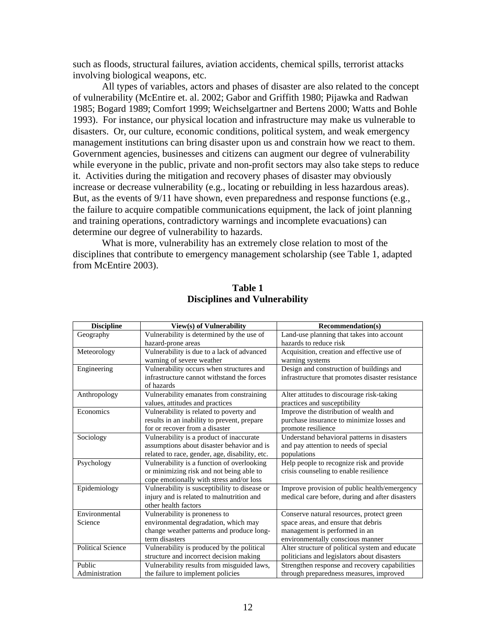such as floods, structural failures, aviation accidents, chemical spills, terrorist attacks involving biological weapons, etc.

All types of variables, actors and phases of disaster are also related to the concept of vulnerability (McEntire et. al. 2002; Gabor and Griffith 1980; Pijawka and Radwan 1985; Bogard 1989; Comfort 1999; Weichselgartner and Bertens 2000; Watts and Bohle 1993). For instance, our physical location and infrastructure may make us vulnerable to disasters. Or, our culture, economic conditions, political system, and weak emergency management institutions can bring disaster upon us and constrain how we react to them. Government agencies, businesses and citizens can augment our degree of vulnerability while everyone in the public, private and non-profit sectors may also take steps to reduce it. Activities during the mitigation and recovery phases of disaster may obviously increase or decrease vulnerability (e.g., locating or rebuilding in less hazardous areas). But, as the events of 9/11 have shown, even preparedness and response functions (e.g., the failure to acquire compatible communications equipment, the lack of joint planning and training operations, contradictory warnings and incomplete evacuations) can determine our degree of vulnerability to hazards.

What is more, vulnerability has an extremely close relation to most of the disciplines that contribute to emergency management scholarship (see Table 1, adapted from McEntire 2003).

| <b>Discipline</b>        | View(s) of Vulnerability                       | <b>Recommendation(s)</b>                         |
|--------------------------|------------------------------------------------|--------------------------------------------------|
| Geography                | Vulnerability is determined by the use of      | Land-use planning that takes into account        |
|                          | hazard-prone areas                             | hazards to reduce risk                           |
| Meteorology              | Vulnerability is due to a lack of advanced     | Acquisition, creation and effective use of       |
|                          | warning of severe weather                      | warning systems                                  |
| Engineering              | Vulnerability occurs when structures and       | Design and construction of buildings and         |
|                          | infrastructure cannot withstand the forces     | infrastructure that promotes disaster resistance |
|                          | of hazards                                     |                                                  |
| Anthropology             | Vulnerability emanates from constraining       | Alter attitudes to discourage risk-taking        |
|                          | values, attitudes and practices                | practices and susceptibility                     |
| Economics                | Vulnerability is related to poverty and        | Improve the distribution of wealth and           |
|                          | results in an inability to prevent, prepare    | purchase insurance to minimize losses and        |
|                          | for or recover from a disaster                 | promote resilience                               |
| Sociology                | Vulnerability is a product of inaccurate       | Understand behavioral patterns in disasters      |
|                          | assumptions about disaster behavior and is     | and pay attention to needs of special            |
|                          | related to race, gender, age, disability, etc. | populations                                      |
| Psychology               | Vulnerability is a function of overlooking     | Help people to recognize risk and provide        |
|                          | or minimizing risk and not being able to       | crisis counseling to enable resilience           |
|                          | cope emotionally with stress and/or loss       |                                                  |
| Epidemiology             | Vulnerability is susceptibility to disease or  | Improve provision of public health/emergency     |
|                          | injury and is related to malnutrition and      | medical care before, during and after disasters  |
|                          | other health factors                           |                                                  |
| Environmental            | Vulnerability is proneness to                  | Conserve natural resources, protect green        |
| Science                  | environmental degradation, which may           | space areas, and ensure that debris              |
|                          | change weather patterns and produce long-      | management is performed in an                    |
|                          | term disasters                                 | environmentally conscious manner                 |
| <b>Political Science</b> | Vulnerability is produced by the political     | Alter structure of political system and educate  |
|                          | structure and incorrect decision making        | politicians and legislators about disasters      |
| Public                   | Vulnerability results from misguided laws,     | Strengthen response and recovery capabilities    |
| Administration           | the failure to implement policies              | through preparedness measures, improved          |

**Table 1 Disciplines and Vulnerability**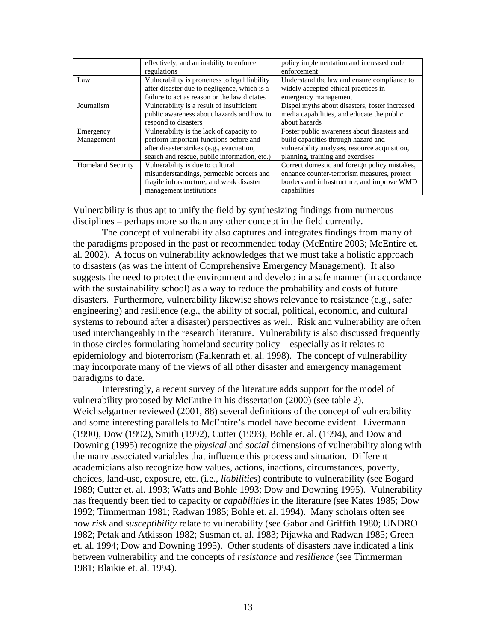|                          | effectively, and an inability to enforce      | policy implementation and increased code       |
|--------------------------|-----------------------------------------------|------------------------------------------------|
|                          | regulations                                   | enforcement                                    |
| Law                      | Vulnerability is proneness to legal liability | Understand the law and ensure compliance to    |
|                          | after disaster due to negligence, which is a  | widely accepted ethical practices in           |
|                          | failure to act as reason or the law dictates  | emergency management                           |
| Journalism               | Vulnerability is a result of insufficient     | Dispel myths about disasters, foster increased |
|                          | public awareness about hazards and how to     | media capabilities, and educate the public     |
|                          | respond to disasters                          | about hazards                                  |
| Emergency                | Vulnerability is the lack of capacity to      | Foster public awareness about disasters and    |
| Management               | perform important functions before and        | build capacities through hazard and            |
|                          | after disaster strikes (e.g., evacuation,     | vulnerability analyses, resource acquisition,  |
|                          | search and rescue, public information, etc.)  | planning, training and exercises               |
| <b>Homeland Security</b> | Vulnerability is due to cultural              | Correct domestic and foreign policy mistakes,  |
|                          | misunderstandings, permeable borders and      | enhance counter-terrorism measures, protect    |
|                          | fragile infrastructure, and weak disaster     | borders and infrastructure, and improve WMD    |
|                          | management institutions                       | capabilities                                   |

Vulnerability is thus apt to unify the field by synthesizing findings from numerous disciplines – perhaps more so than any other concept in the field currently.

The concept of vulnerability also captures and integrates findings from many of the paradigms proposed in the past or recommended today (McEntire 2003; McEntire et. al. 2002). A focus on vulnerability acknowledges that we must take a holistic approach to disasters (as was the intent of Comprehensive Emergency Management). It also suggests the need to protect the environment and develop in a safe manner (in accordance with the sustainability school) as a way to reduce the probability and costs of future disasters. Furthermore, vulnerability likewise shows relevance to resistance (e.g., safer engineering) and resilience (e.g., the ability of social, political, economic, and cultural systems to rebound after a disaster) perspectives as well. Risk and vulnerability are often used interchangeably in the research literature. Vulnerability is also discussed frequently in those circles formulating homeland security policy – especially as it relates to epidemiology and bioterrorism (Falkenrath et. al. 1998). The concept of vulnerability may incorporate many of the views of all other disaster and emergency management paradigms to date.

Interestingly, a recent survey of the literature adds support for the model of vulnerability proposed by McEntire in his dissertation (2000) (see table 2). Weichselgartner reviewed (2001, 88) several definitions of the concept of vulnerability and some interesting parallels to McEntire's model have become evident. Livermann (1990), Dow (1992), Smith (1992), Cutter (1993), Bohle et. al. (1994), and Dow and Downing (1995) recognize the *physical* and *social* dimensions of vulnerability along with the many associated variables that influence this process and situation. Different academicians also recognize how values, actions, inactions, circumstances, poverty, choices, land-use, exposure, etc. (i.e., *liabilities*) contribute to vulnerability (see Bogard 1989; Cutter et. al. 1993; Watts and Bohle 1993; Dow and Downing 1995). Vulnerability has frequently been tied to capacity or *capabilities* in the literature (see Kates 1985; Dow 1992; Timmerman 1981; Radwan 1985; Bohle et. al. 1994). Many scholars often see how *risk* and *susceptibility* relate to vulnerability (see Gabor and Griffith 1980; UNDRO 1982; Petak and Atkisson 1982; Susman et. al. 1983; Pijawka and Radwan 1985; Green et. al. 1994; Dow and Downing 1995). Other students of disasters have indicated a link between vulnerability and the concepts of *resistance* and *resilience* (see Timmerman 1981; Blaikie et. al. 1994).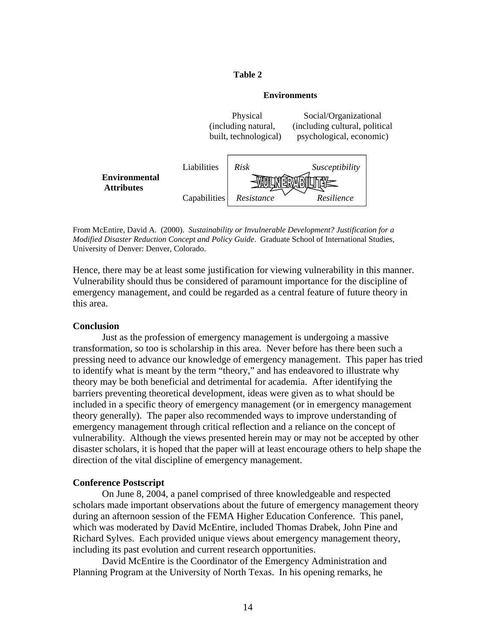#### **Table 2**

## **Environments**



From McEntire, David A. (2000). *Sustainability or Invulnerable Development? Justification for a Modified Disaster Reduction Concept and Policy Guide*. Graduate School of International Studies, University of Denver: Denver, Colorado.

Hence, there may be at least some justification for viewing vulnerability in this manner. Vulnerability should thus be considered of paramount importance for the discipline of emergency management, and could be regarded as a central feature of future theory in this area.

## **Conclusion**

Just as the profession of emergency management is undergoing a massive transformation, so too is scholarship in this area. Never before has there been such a pressing need to advance our knowledge of emergency management. This paper has tried to identify what is meant by the term "theory," and has endeavored to illustrate why theory may be both beneficial and detrimental for academia. After identifying the barriers preventing theoretical development, ideas were given as to what should be included in a specific theory of emergency management (or in emergency management theory generally). The paper also recommended ways to improve understanding of emergency management through critical reflection and a reliance on the concept of vulnerability. Although the views presented herein may or may not be accepted by other disaster scholars, it is hoped that the paper will at least encourage others to help shape the direction of the vital discipline of emergency management.

### **Conference Postscript**

On June 8, 2004, a panel comprised of three knowledgeable and respected scholars made important observations about the future of emergency management theory during an afternoon session of the FEMA Higher Education Conference. This panel, which was moderated by David McEntire, included Thomas Drabek, John Pine and Richard Sylves. Each provided unique views about emergency management theory, including its past evolution and current research opportunities.

David McEntire is the Coordinator of the Emergency Administration and Planning Program at the University of North Texas. In his opening remarks, he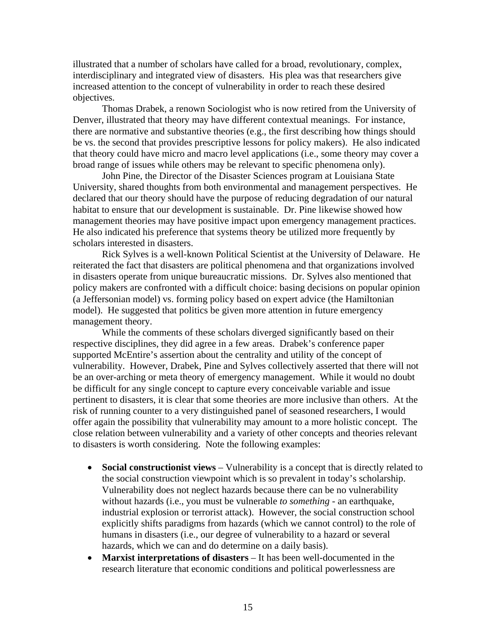illustrated that a number of scholars have called for a broad, revolutionary, complex, interdisciplinary and integrated view of disasters. His plea was that researchers give increased attention to the concept of vulnerability in order to reach these desired objectives.

Thomas Drabek, a renown Sociologist who is now retired from the University of Denver, illustrated that theory may have different contextual meanings. For instance, there are normative and substantive theories (e.g., the first describing how things should be vs. the second that provides prescriptive lessons for policy makers). He also indicated that theory could have micro and macro level applications (i.e., some theory may cover a broad range of issues while others may be relevant to specific phenomena only).

John Pine, the Director of the Disaster Sciences program at Louisiana State University, shared thoughts from both environmental and management perspectives. He declared that our theory should have the purpose of reducing degradation of our natural habitat to ensure that our development is sustainable. Dr. Pine likewise showed how management theories may have positive impact upon emergency management practices. He also indicated his preference that systems theory be utilized more frequently by scholars interested in disasters.

Rick Sylves is a well-known Political Scientist at the University of Delaware. He reiterated the fact that disasters are political phenomena and that organizations involved in disasters operate from unique bureaucratic missions. Dr. Sylves also mentioned that policy makers are confronted with a difficult choice: basing decisions on popular opinion (a Jeffersonian model) vs. forming policy based on expert advice (the Hamiltonian model). He suggested that politics be given more attention in future emergency management theory.

While the comments of these scholars diverged significantly based on their respective disciplines, they did agree in a few areas. Drabek's conference paper supported McEntire's assertion about the centrality and utility of the concept of vulnerability. However, Drabek, Pine and Sylves collectively asserted that there will not be an over-arching or meta theory of emergency management. While it would no doubt be difficult for any single concept to capture every conceivable variable and issue pertinent to disasters, it is clear that some theories are more inclusive than others. At the risk of running counter to a very distinguished panel of seasoned researchers, I would offer again the possibility that vulnerability may amount to a more holistic concept. The close relation between vulnerability and a variety of other concepts and theories relevant to disasters is worth considering. Note the following examples:

- **Social constructionist views** Vulnerability is a concept that is directly related to the social construction viewpoint which is so prevalent in today's scholarship. Vulnerability does not neglect hazards because there can be no vulnerability without hazards (i.e., you must be vulnerable *to something* - an earthquake, industrial explosion or terrorist attack). However, the social construction school explicitly shifts paradigms from hazards (which we cannot control) to the role of humans in disasters (i.e., our degree of vulnerability to a hazard or several hazards, which we can and do determine on a daily basis).
- **Marxist interpretations of disasters** It has been well-documented in the research literature that economic conditions and political powerlessness are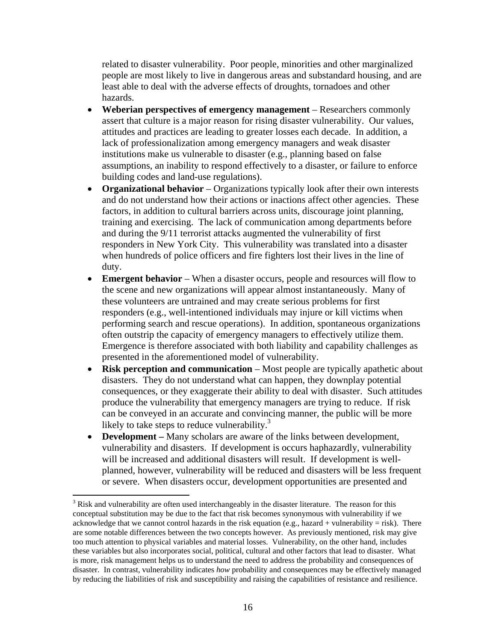related to disaster vulnerability. Poor people, minorities and other marginalized people are most likely to live in dangerous areas and substandard housing, and are least able to deal with the adverse effects of droughts, tornadoes and other hazards.

- **Weberian perspectives of emergency management** Researchers commonly assert that culture is a major reason for rising disaster vulnerability. Our values, attitudes and practices are leading to greater losses each decade. In addition, a lack of professionalization among emergency managers and weak disaster institutions make us vulnerable to disaster (e.g., planning based on false assumptions, an inability to respond effectively to a disaster, or failure to enforce building codes and land-use regulations).
- **Organizational behavior** Organizations typically look after their own interests and do not understand how their actions or inactions affect other agencies. These factors, in addition to cultural barriers across units, discourage joint planning, training and exercising. The lack of communication among departments before and during the 9/11 terrorist attacks augmented the vulnerability of first responders in New York City. This vulnerability was translated into a disaster when hundreds of police officers and fire fighters lost their lives in the line of duty.
- **Emergent behavior** When a disaster occurs, people and resources will flow to the scene and new organizations will appear almost instantaneously. Many of these volunteers are untrained and may create serious problems for first responders (e.g., well-intentioned individuals may injure or kill victims when performing search and rescue operations). In addition, spontaneous organizations often outstrip the capacity of emergency managers to effectively utilize them. Emergence is therefore associated with both liability and capability challenges as presented in the aforementioned model of vulnerability.
- **Risk perception and communication** Most people are typically apathetic about disasters. They do not understand what can happen, they downplay potential consequences, or they exaggerate their ability to deal with disaster. Such attitudes produce the vulnerability that emergency managers are trying to reduce. If risk can be conveyed in an accurate and convincing manner, the public will be more likely to take steps to reduce vulnerability. $3$
- **Development** Many scholars are aware of the links between development, vulnerability and disasters. If development is occurs haphazardly, vulnerability will be increased and additional disasters will result. If development is wellplanned, however, vulnerability will be reduced and disasters will be less frequent or severe. When disasters occur, development opportunities are presented and

 $\overline{a}$ 

<span id="page-15-0"></span> $3$  Risk and vulnerability are often used interchangeably in the disaster literature. The reason for this conceptual substitution may be due to the fact that risk becomes synonymous with vulnerability if we acknowledge that we cannot control hazards in the risk equation (e.g., hazard + vulnerability = risk). There are some notable differences between the two concepts however. As previously mentioned, risk may give too much attention to physical variables and material losses. Vulnerability, on the other hand, includes these variables but also incorporates social, political, cultural and other factors that lead to disaster. What is more, risk management helps us to understand the need to address the probability and consequences of disaster. In contrast, vulnerability indicates *how* probability and consequences may be effectively managed by reducing the liabilities of risk and susceptibility and raising the capabilities of resistance and resilience.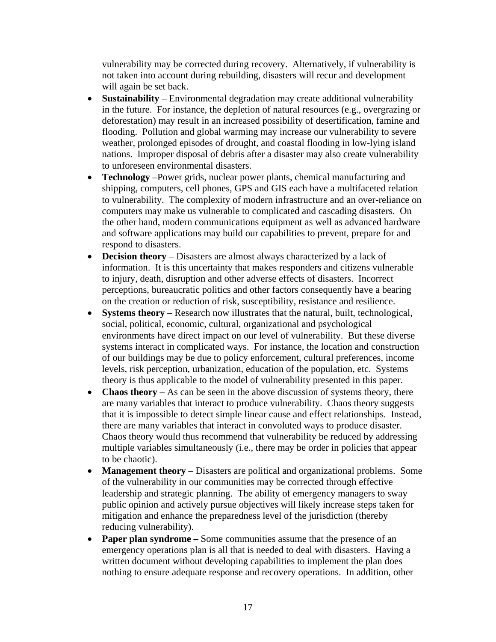vulnerability may be corrected during recovery. Alternatively, if vulnerability is not taken into account during rebuilding, disasters will recur and development will again be set back.

- **Sustainability** Environmental degradation may create additional vulnerability in the future. For instance, the depletion of natural resources (e.g., overgrazing or deforestation) may result in an increased possibility of desertification, famine and flooding. Pollution and global warming may increase our vulnerability to severe weather, prolonged episodes of drought, and coastal flooding in low-lying island nations. Improper disposal of debris after a disaster may also create vulnerability to unforeseen environmental disasters.
- **Technology** –Power grids, nuclear power plants, chemical manufacturing and shipping, computers, cell phones, GPS and GIS each have a multifaceted relation to vulnerability. The complexity of modern infrastructure and an over-reliance on computers may make us vulnerable to complicated and cascading disasters. On the other hand, modern communications equipment as well as advanced hardware and software applications may build our capabilities to prevent, prepare for and respond to disasters.
- **Decision theory** Disasters are almost always characterized by a lack of information. It is this uncertainty that makes responders and citizens vulnerable to injury, death, disruption and other adverse effects of disasters. Incorrect perceptions, bureaucratic politics and other factors consequently have a bearing on the creation or reduction of risk, susceptibility, resistance and resilience.
- **Systems theory** Research now illustrates that the natural, built, technological, social, political, economic, cultural, organizational and psychological environments have direct impact on our level of vulnerability. But these diverse systems interact in complicated ways. For instance, the location and construction of our buildings may be due to policy enforcement, cultural preferences, income levels, risk perception, urbanization, education of the population, etc. Systems theory is thus applicable to the model of vulnerability presented in this paper.
- **Chaos theory** As can be seen in the above discussion of systems theory, there are many variables that interact to produce vulnerability. Chaos theory suggests that it is impossible to detect simple linear cause and effect relationships. Instead, there are many variables that interact in convoluted ways to produce disaster. Chaos theory would thus recommend that vulnerability be reduced by addressing multiple variables simultaneously (i.e., there may be order in policies that appear to be chaotic).
- **Management theory** Disasters are political and organizational problems. Some of the vulnerability in our communities may be corrected through effective leadership and strategic planning. The ability of emergency managers to sway public opinion and actively pursue objectives will likely increase steps taken for mitigation and enhance the preparedness level of the jurisdiction (thereby reducing vulnerability).
- **Paper plan syndrome** Some communities assume that the presence of an emergency operations plan is all that is needed to deal with disasters. Having a written document without developing capabilities to implement the plan does nothing to ensure adequate response and recovery operations. In addition, other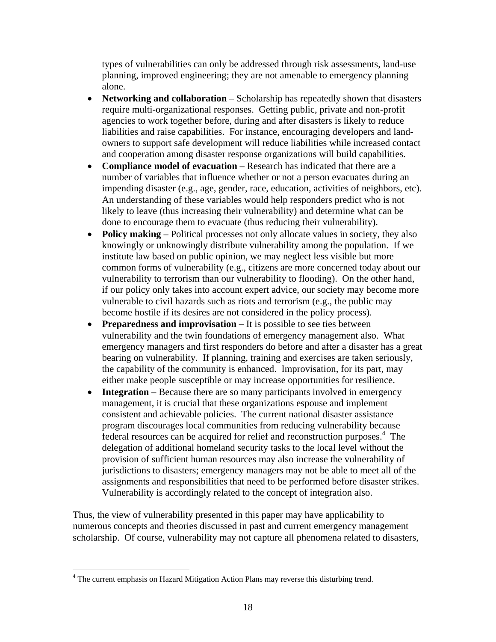types of vulnerabilities can only be addressed through risk assessments, land-use planning, improved engineering; they are not amenable to emergency planning alone.

- **Networking and collaboration** Scholarship has repeatedly shown that disasters require multi-organizational responses. Getting public, private and non-profit agencies to work together before, during and after disasters is likely to reduce liabilities and raise capabilities. For instance, encouraging developers and landowners to support safe development will reduce liabilities while increased contact and cooperation among disaster response organizations will build capabilities.
- **Compliance model of evacuation** Research has indicated that there are a number of variables that influence whether or not a person evacuates during an impending disaster (e.g., age, gender, race, education, activities of neighbors, etc). An understanding of these variables would help responders predict who is not likely to leave (thus increasing their vulnerability) and determine what can be done to encourage them to evacuate (thus reducing their vulnerability).
- **Policy making** Political processes not only allocate values in society, they also knowingly or unknowingly distribute vulnerability among the population. If we institute law based on public opinion, we may neglect less visible but more common forms of vulnerability (e.g., citizens are more concerned today about our vulnerability to terrorism than our vulnerability to flooding). On the other hand, if our policy only takes into account expert advice, our society may become more vulnerable to civil hazards such as riots and terrorism (e.g., the public may become hostile if its desires are not considered in the policy process).
- **Preparedness and improvisation** It is possible to see ties between vulnerability and the twin foundations of emergency management also. What emergency managers and first responders do before and after a disaster has a great bearing on vulnerability. If planning, training and exercises are taken seriously, the capability of the community is enhanced. Improvisation, for its part, may either make people susceptible or may increase opportunities for resilience.
- **Integration** Because there are so many participants involved in emergency management, it is crucial that these organizations espouse and implement consistent and achievable policies. The current national disaster assistance program discourages local communities from reducing vulnerability because federal resources can be acquired for relief and reconstruction purposes.<sup>[4](#page-17-0)</sup> The delegation of additional homeland security tasks to the local level without the provision of sufficient human resources may also increase the vulnerability of jurisdictions to disasters; emergency managers may not be able to meet all of the assignments and responsibilities that need to be performed before disaster strikes. Vulnerability is accordingly related to the concept of integration also.

Thus, the view of vulnerability presented in this paper may have applicability to numerous concepts and theories discussed in past and current emergency management scholarship. Of course, vulnerability may not capture all phenomena related to disasters,

 $\overline{a}$ 

<span id="page-17-0"></span><sup>&</sup>lt;sup>4</sup> The current emphasis on Hazard Mitigation Action Plans may reverse this disturbing trend.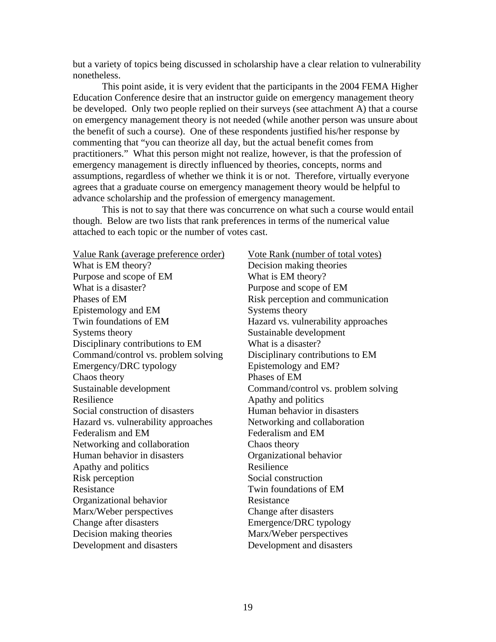but a variety of topics being discussed in scholarship have a clear relation to vulnerability nonetheless.

This point aside, it is very evident that the participants in the 2004 FEMA Higher Education Conference desire that an instructor guide on emergency management theory be developed. Only two people replied on their surveys (see attachment A) that a course on emergency management theory is not needed (while another person was unsure about the benefit of such a course). One of these respondents justified his/her response by commenting that "you can theorize all day, but the actual benefit comes from practitioners." What this person might not realize, however, is that the profession of emergency management is directly influenced by theories, concepts, norms and assumptions, regardless of whether we think it is or not. Therefore, virtually everyone agrees that a graduate course on emergency management theory would be helpful to advance scholarship and the profession of emergency management.

This is not to say that there was concurrence on what such a course would entail though. Below are two lists that rank preferences in terms of the numerical value attached to each topic or the number of votes cast.

Value Rank (average preference order) Vote Rank (number of total votes) What is EM theory? Decision making theories Purpose and scope of EM What is EM theory? What is a disaster? Purpose and scope of EM Phases of EM Risk perception and communication Epistemology and EM Systems theory Twin foundations of EM Hazard vs. vulnerability approaches Systems theory Sustainable development Disciplinary contributions to EM What is a disaster? Command/control vs. problem solving Disciplinary contributions to EM Emergency/DRC typology Epistemology and EM? Chaos theory Phases of EM Sustainable development Command/control vs. problem solving Resilience Apathy and politics Social construction of disasters Human behavior in disasters Hazard vs. vulnerability approaches Networking and collaboration Federalism and EM Federalism and EM Networking and collaboration Chaos theory Human behavior in disasters Organizational behavior Apathy and politics Resilience Risk perception Social construction Resistance Twin foundations of EM Organizational behavior Resistance Marx/Weber perspectives Change after disasters Change after disasters Emergence/DRC typology Decision making theories Marx/Weber perspectives Development and disasters Development and disasters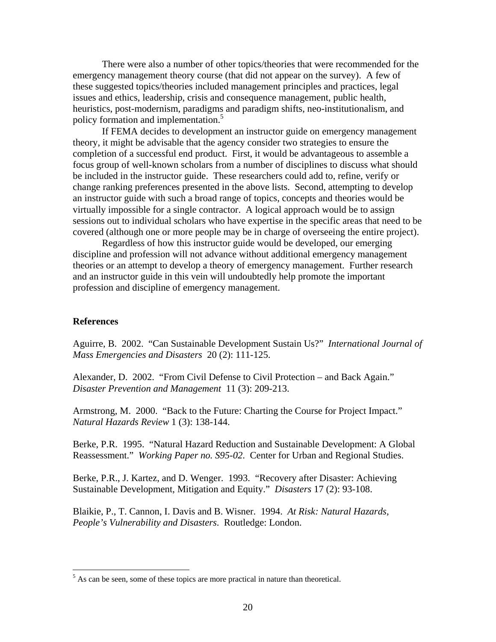There were also a number of other topics/theories that were recommended for the emergency management theory course (that did not appear on the survey). A few of these suggested topics/theories included management principles and practices, legal issues and ethics, leadership, crisis and consequence management, public health, heuristics, post-modernism, paradigms and paradigm shifts, neo-institutionalism, and policy formation and implementation.<sup>5</sup>

If FEMA decides to development an instructor guide on emergency management theory, it might be advisable that the agency consider two strategies to ensure the completion of a successful end product. First, it would be advantageous to assemble a focus group of well-known scholars from a number of disciplines to discuss what should be included in the instructor guide. These researchers could add to, refine, verify or change ranking preferences presented in the above lists. Second, attempting to develop an instructor guide with such a broad range of topics, concepts and theories would be virtually impossible for a single contractor. A logical approach would be to assign sessions out to individual scholars who have expertise in the specific areas that need to be covered (although one or more people may be in charge of overseeing the entire project).

Regardless of how this instructor guide would be developed, our emerging discipline and profession will not advance without additional emergency management theories or an attempt to develop a theory of emergency management. Further research and an instructor guide in this vein will undoubtedly help promote the important profession and discipline of emergency management.

## **References**

<u>.</u>

Aguirre, B. 2002. "Can Sustainable Development Sustain Us?" *International Journal of Mass Emergencies and Disasters* 20 (2): 111-125.

Alexander, D. 2002. "From Civil Defense to Civil Protection – and Back Again." *Disaster Prevention and Management* 11 (3): 209-213.

Armstrong, M. 2000. "Back to the Future: Charting the Course for Project Impact." *Natural Hazards Review* 1 (3): 138-144.

Berke, P.R. 1995. "Natural Hazard Reduction and Sustainable Development: A Global Reassessment." *Working Paper no. S95-02*. Center for Urban and Regional Studies.

Berke, P.R., J. Kartez, and D. Wenger. 1993. "Recovery after Disaster: Achieving Sustainable Development, Mitigation and Equity." *Disasters* 17 (2): 93-108.

Blaikie, P., T. Cannon, I. Davis and B. Wisner. 1994. *At Risk: Natural Hazards, People's Vulnerability and Disasters*. Routledge: London.

<span id="page-19-0"></span> $<sup>5</sup>$  As can be seen, some of these topics are more practical in nature than theoretical.</sup>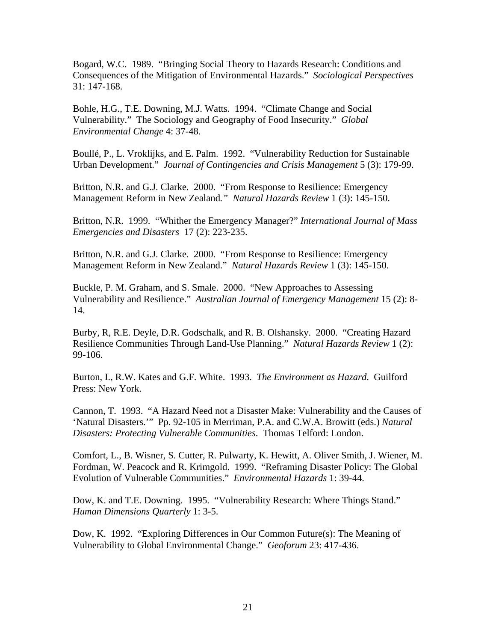Bogard, W.C. 1989. "Bringing Social Theory to Hazards Research: Conditions and Consequences of the Mitigation of Environmental Hazards." *Sociological Perspectives* 31: 147-168.

Bohle, H.G., T.E. Downing, M.J. Watts. 1994. "Climate Change and Social Vulnerability." The Sociology and Geography of Food Insecurity." *Global Environmental Change* 4: 37-48.

Boullé, P., L. Vroklijks, and E. Palm. 1992. "Vulnerability Reduction for Sustainable Urban Development." *Journal of Contingencies and Crisis Management* 5 (3): 179-99.

Britton, N.R. and G.J. Clarke. 2000. "From Response to Resilience: Emergency Management Reform in New Zealand*." Natural Hazards Review* 1 (3): 145-150.

Britton, N.R. 1999. "Whither the Emergency Manager?" *International Journal of Mass Emergencies and Disasters* 17 (2): 223-235.

Britton, N.R. and G.J. Clarke. 2000. "From Response to Resilience: Emergency Management Reform in New Zealand." *Natural Hazards Review* 1 (3): 145-150.

Buckle, P. M. Graham, and S. Smale. 2000. "New Approaches to Assessing Vulnerability and Resilience." *Australian Journal of Emergency Management* 15 (2): 8- 14.

Burby, R, R.E. Deyle, D.R. Godschalk, and R. B. Olshansky. 2000. "Creating Hazard Resilience Communities Through Land-Use Planning." *Natural Hazards Review* 1 (2): 99-106.

Burton, I., R.W. Kates and G.F. White. 1993. *The Environment as Hazard*. Guilford Press: New York.

Cannon, T. 1993. "A Hazard Need not a Disaster Make: Vulnerability and the Causes of 'Natural Disasters.'" Pp. 92-105 in Merriman, P.A. and C.W.A. Browitt (eds.) *Natural Disasters: Protecting Vulnerable Communities*. Thomas Telford: London.

Comfort, L., B. Wisner, S. Cutter, R. Pulwarty, K. Hewitt, A. Oliver Smith, J. Wiener, M. Fordman, W. Peacock and R. Krimgold. 1999. "Reframing Disaster Policy: The Global Evolution of Vulnerable Communities." *Environmental Hazards* 1: 39-44.

Dow, K. and T.E. Downing. 1995. "Vulnerability Research: Where Things Stand." *Human Dimensions Quarterly* 1: 3-5.

Dow, K. 1992. "Exploring Differences in Our Common Future(s): The Meaning of Vulnerability to Global Environmental Change." *Geoforum* 23: 417-436.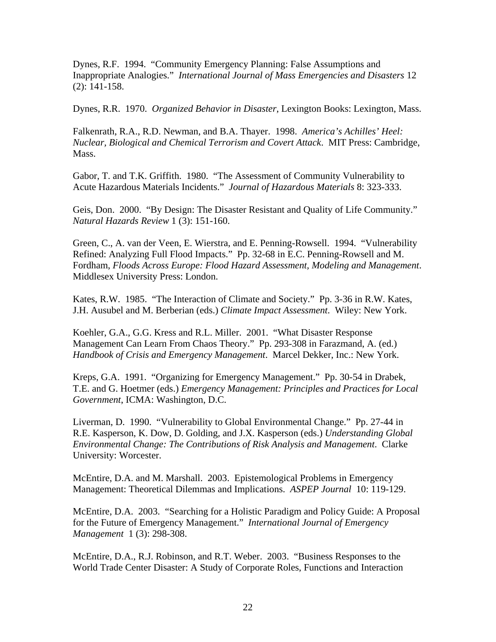Dynes, R.F. 1994. "Community Emergency Planning: False Assumptions and Inappropriate Analogies." *International Journal of Mass Emergencies and Disasters* 12 (2): 141-158.

Dynes, R.R. 1970. *Organized Behavior in Disaster*, Lexington Books: Lexington, Mass.

Falkenrath, R.A., R.D. Newman, and B.A. Thayer. 1998. *America's Achilles' Heel: Nuclear, Biological and Chemical Terrorism and Covert Attack*. MIT Press: Cambridge, Mass.

Gabor, T. and T.K. Griffith. 1980. "The Assessment of Community Vulnerability to Acute Hazardous Materials Incidents." *Journal of Hazardous Materials* 8: 323-333.

Geis, Don. 2000. "By Design: The Disaster Resistant and Quality of Life Community." *Natural Hazards Review* 1 (3): 151-160.

Green, C., A. van der Veen, E. Wierstra, and E. Penning-Rowsell. 1994. "Vulnerability Refined: Analyzing Full Flood Impacts." Pp. 32-68 in E.C. Penning-Rowsell and M. Fordham, *Floods Across Europe: Flood Hazard Assessment, Modeling and Management*. Middlesex University Press: London.

Kates, R.W. 1985. "The Interaction of Climate and Society." Pp. 3-36 in R.W. Kates, J.H. Ausubel and M. Berberian (eds.) *Climate Impact Assessment*. Wiley: New York.

Koehler, G.A., G.G. Kress and R.L. Miller. 2001. "What Disaster Response Management Can Learn From Chaos Theory." Pp. 293-308 in Farazmand, A. (ed.) *Handbook of Crisis and Emergency Management*. Marcel Dekker, Inc.: New York.

Kreps, G.A. 1991. "Organizing for Emergency Management." Pp. 30-54 in Drabek, T.E. and G. Hoetmer (eds.) *Emergency Management: Principles and Practices for Local Government*, ICMA: Washington, D.C.

Liverman, D. 1990. "Vulnerability to Global Environmental Change." Pp. 27-44 in R.E. Kasperson, K. Dow, D. Golding, and J.X. Kasperson (eds.) *Understanding Global Environmental Change: The Contributions of Risk Analysis and Management*. Clarke University: Worcester.

McEntire, D.A. and M. Marshall. 2003. Epistemological Problems in Emergency Management: Theoretical Dilemmas and Implications. *ASPEP Journal* 10: 119-129.

McEntire, D.A. 2003. "Searching for a Holistic Paradigm and Policy Guide: A Proposal for the Future of Emergency Management." *International Journal of Emergency Management* 1 (3): 298-308.

McEntire, D.A., R.J. Robinson, and R.T. Weber. 2003. "Business Responses to the World Trade Center Disaster: A Study of Corporate Roles, Functions and Interaction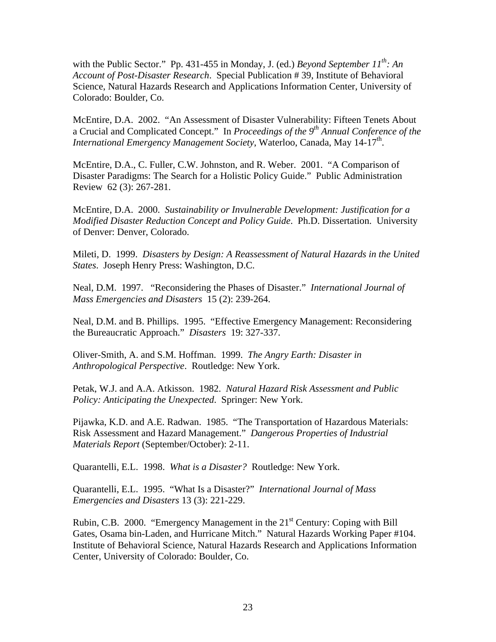with the Public Sector." Pp. 431-455 in Monday, J. (ed.) *Beyond September 11<sup>th</sup>: An Account of Post-Disaster Research*. Special Publication # 39, Institute of Behavioral Science, Natural Hazards Research and Applications Information Center, University of Colorado: Boulder, Co.

McEntire, D.A. 2002. "An Assessment of Disaster Vulnerability: Fifteen Tenets About a Crucial and Complicated Concept." In *Proceedings of the 9th Annual Conference of the International Emergency Management Society*, Waterloo, Canada, May 14-17<sup>th</sup>.

McEntire, D.A., C. Fuller, C.W. Johnston, and R. Weber. 2001. "A Comparison of Disaster Paradigms: The Search for a Holistic Policy Guide." Public Administration Review 62 (3): 267-281.

McEntire, D.A. 2000. *Sustainability or Invulnerable Development: Justification for a Modified Disaster Reduction Concept and Policy Guide*. Ph.D. Dissertation. University of Denver: Denver, Colorado.

Mileti, D. 1999. *Disasters by Design: A Reassessment of Natural Hazards in the United States*. Joseph Henry Press: Washington, D.C.

Neal, D.M. 1997. "Reconsidering the Phases of Disaster." *International Journal of Mass Emergencies and Disasters* 15 (2): 239-264.

Neal, D.M. and B. Phillips. 1995. "Effective Emergency Management: Reconsidering the Bureaucratic Approach." *Disasters* 19: 327-337.

Oliver-Smith, A. and S.M. Hoffman. 1999. *The Angry Earth: Disaster in Anthropological Perspective*. Routledge: New York.

Petak, W.J. and A.A. Atkisson. 1982. *Natural Hazard Risk Assessment and Public Policy: Anticipating the Unexpected*. Springer: New York.

Pijawka, K.D. and A.E. Radwan. 1985. "The Transportation of Hazardous Materials: Risk Assessment and Hazard Management." *Dangerous Properties of Industrial Materials Report* (September/October): 2-11.

Quarantelli, E.L. 1998. *What is a Disaster?* Routledge: New York.

Quarantelli, E.L. 1995. "What Is a Disaster?" *International Journal of Mass Emergencies and Disasters* 13 (3): 221-229.

Rubin, C.B. 2000. "Emergency Management in the  $21<sup>st</sup>$  Century: Coping with Bill Gates, Osama bin-Laden, and Hurricane Mitch." Natural Hazards Working Paper #104. Institute of Behavioral Science, Natural Hazards Research and Applications Information Center, University of Colorado: Boulder, Co.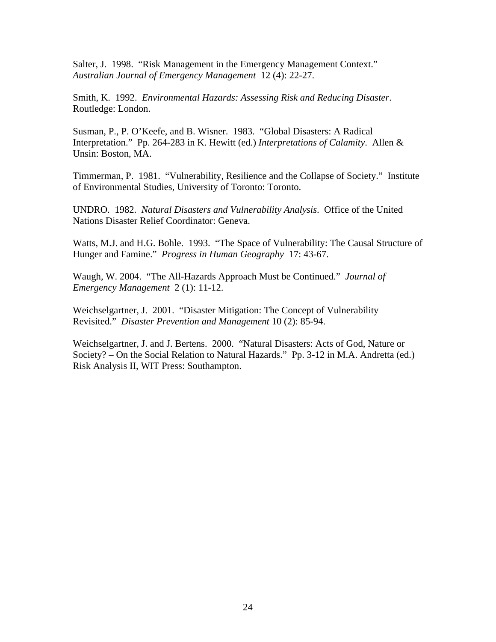Salter, J. 1998. "Risk Management in the Emergency Management Context." *Australian Journal of Emergency Management* 12 (4): 22-27.

Smith, K. 1992. *Environmental Hazards: Assessing Risk and Reducing Disaster*. Routledge: London.

Susman, P., P. O'Keefe, and B. Wisner. 1983. "Global Disasters: A Radical Interpretation." Pp. 264-283 in K. Hewitt (ed.) *Interpretations of Calamity*. Allen & Unsin: Boston, MA.

Timmerman, P. 1981. "Vulnerability, Resilience and the Collapse of Society." Institute of Environmental Studies, University of Toronto: Toronto.

UNDRO. 1982. *Natural Disasters and Vulnerability Analysis*. Office of the United Nations Disaster Relief Coordinator: Geneva.

Watts, M.J. and H.G. Bohle. 1993. "The Space of Vulnerability: The Causal Structure of Hunger and Famine." *Progress in Human Geography* 17: 43-67.

Waugh, W. 2004. "The All-Hazards Approach Must be Continued." *Journal of Emergency Management* 2 (1): 11-12.

Weichselgartner, J. 2001. "Disaster Mitigation: The Concept of Vulnerability Revisited." *Disaster Prevention and Management* 10 (2): 85-94.

Weichselgartner, J. and J. Bertens. 2000. "Natural Disasters: Acts of God, Nature or Society? – On the Social Relation to Natural Hazards." Pp. 3-12 in M.A. Andretta (ed.) Risk Analysis II, WIT Press: Southampton.